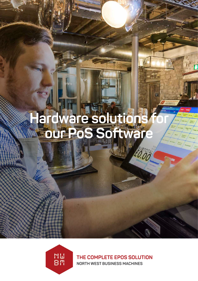# **Hardware solutions for our PoS Software**



THE COMPLETE EPOS SOLUTION **NORTH WEST BUSINESS MACHINES**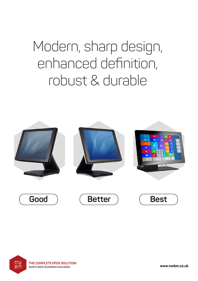# Modern, sharp design, enhanced definition, robust & durable





**www.nwbm.co.uk**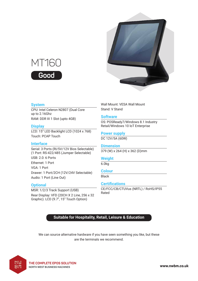

#### **System**

CPU: Intel Celeron N2807 (Dual Core up to 2.16Ghz RAM: DDR III 1 Slot (upto 4GB)

#### **Display**

LCD: 15" LED Backlight LCD (1024 x 768) Touch: PCAP Touch

#### **Interface**

Serial: 3 Ports (RI/5V/12V Bios Selectable) (1 Port: RS-422/485 (Jumper Selectable) USB: 2.0: 6 Ports Ethernet: 1 Port VGA: 1 Port Drawer: 1 Port/2CH (12V/24V Selectable) Audio: 1 Port (Line Out)

# **Optional**

MSR: 1/2/3 Track Support (USB) Rear Display: VFD (20CH X 2 Line, 256 x 32 Graphic). LCD (9.7", 15" Touch Option)

Wall Mount: VESA Wall Mount Stand: V Stand

#### **Software**

OS: POSReady7/Windows 8.1 Industry Retail/Windows 10 loT Enterprise

**Power supply**

DC 12V/5A (60W)

#### **Dimension**

379 (W) x 264 (H) x 362 (D)mm

# **Weight**

6.0kg

# **Colour**

Black

#### **Certifications**

CE/FCC/CB/CTUVus (NRTL) / RoHS/IP55 Rated

# **Suitable for Hospitality, Retail, Leisure & Education**

We can source alternative hardware if you have seen something you like, but these are the terminals we recommend.



**www.nwbm.co.uk**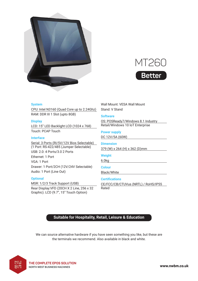



#### **System**

CPU: Intel N3160 (Quad Core up to 2.24Ghz) RAM: DDR III 1 Slot (upto 8GB)

#### **Display**

LCD: 15" LED Backlight LCD (1024 x 768) Touch: PCAP Touch

#### **Interface**

Serial: 3 Ports (RI/5V/12V Bios Selectable) (1 Port: RS-422/485 (Jumper Selectable) USB: 2.0: 4 Ports/3.0 2 Ports Ethernet: 1 Port VGA: 1 Port Drawer: 1 Port/2CH (12V/24V Selectable) Audio: 1 Port (Line Out)

#### **Optional**

MSR: 1/2/3 Track Support (USB) Rear Display:VFD (20CH X 2 Line, 256 x 32 Graphic). LCD (9.7", 15" Touch Option)

Wall Mount: VESA Wall Mount Stand: V Stand

# **Software**

OS: POSReady7/Windows 8.1 Industry Retail/Windows 10 loT Enterprise

**Power supply** DC 12V/5A (60W)

**Dimension** 379 (W) x 264 (H) x 362 (D)mm

# **Weight**

6.0kg

# **Colour**

Black/White

# **Certifications**

CE/FCC/CB/CTUVus (NRTL) / RoHS/IP55 Rated

# **Suitable for Hospitality, Retail, Leisure & Education**

We can source alternative hardware if you have seen something you like, but these are the terminals we recommend. Also available in black and white.



**www.nwbm.co.uk**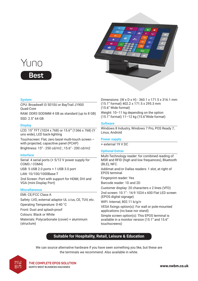



#### **System**

CPU: Broadwell I3 5010U or BayTrail J1900 Quad-Core

RAM: DDR3 SODIMM 4 GB as standard (up to 8 GB) SSD: 2.5'' 64 GB

#### **Display**

LCD: 15'' TFT (1024 x 768) or 15.6'" (1366 x 768) (Y uno wide), LED back-lighting

Touchscreen: Flat, zero bezel multi-touch screen – with projected, capacitive panel (PCAP) Brightness: 15'' - 250 cd/m2 ; 15.6'' - 200 cd/m2

# **Interface**

Serial: 4 serial ports (+ 5/12 V power supply for COM3 / COM4) USB: 5 USB 2.0 ports + 1 USB 3.0 port LAN: 10/100/1000Base-T 2nd Screen: Port with support for HDMI, DVI and VGA (mini Display Port)

# **Miscellaneous**

EMI: CE/FCC Class A Safety: LVD, external adaptor UL c/us, CE, TUV, etc. Operating Temperature: 0-40 °C Front: Dust and splash-proof Colours: Black or White Materials: Polycarbonate (cover) + aluminium (structure)

Dimensions: (W x D x H) - 360.1 x 171.5 x 316.1 mm (15.1'' format) 402.2 x 171.5 x 295.3 mm (15.6'' Wide format)

Weight: 10–11 kg depending on the option (15.1'' format) 11–12 kg (15.6''Wide format)

#### **Software**

Windows 8 Industry, Windows 7 Pro, POS Ready 7, Linux, Androïd

### **Power supply**

+ external 19 V DC

# **Optional Extras**

Multi-Technology reader: for combined reading of MSR and RFID (high and low frequences), Bluetooth (BLE), NFC.

Addimat and/or Dallas readers: 1 slot, at right of EPOS terminal

Fingerprint reader: Yes

Barcode reader: 1D and 2D

Customer display: 20 characters x 2 lines (VFD)

2nd screen: 10.1'' - 16:9 1024 x 600 Flat LED screen (EPOS digital signage)

WIFI: Internal, 802.11 b/g/n

VESA fixings option(s): For wall or pole-mounted applications (no base nor stand)

Simple screen option(s): This EPOS terminal is available in a monitor version (15.1'' and 15.6'' touchscreens)

# **Suitable for Hospitality, Retail, Leisure & Education**

We can source alternative hardware if you have seen something you like, but these are the terminals we recommend. Also available in white.